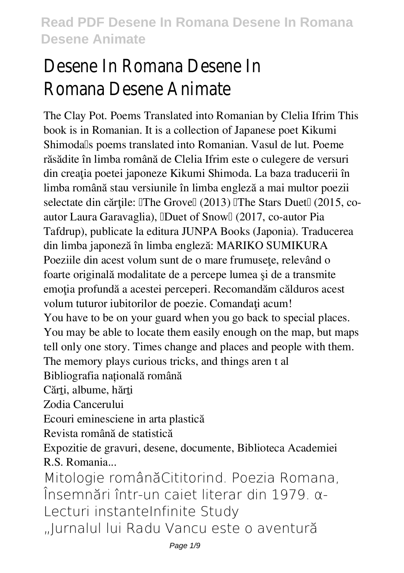# Desene In Romana Desene Romana Desene Animat

The Clay Pot. Poems Translated into Romanian by Clelia Ifrim This book is in Romanian. It is a collection of Japanese poet Kikumi Shimoda's poems translated into Romanian. Vasul de lut. Poeme răsădite în limba română de Clelia Ifrim este o culegere de versuri din creaţia poetei japoneze Kikumi Shimoda. La baza traducerii în limba română stau versiunile în limba engleză a mai multor poezii selectate din cărțile: "The Grove" (2013) "The Stars Duet" (2015, coautor Laura Garavaglia), *Duet of Snow* [2017, co-autor Pia Tafdrup), publicate la editura JUNPA Books (Japonia). Traducerea din limba japoneză în limba engleză: MARIKO SUMIKURA Poeziile din acest volum sunt de o mare frumusete, relevând o foarte originală modalitate de a percepe lumea şi de a transmite emoția profundă a acestei perceperi. Recomandăm călduros acest volum tuturor iubitorilor de poezie. Comandați acum! You have to be on your guard when you go back to special places. You may be able to locate them easily enough on the map, but maps tell only one story. Times change and places and people with them. The memory plays curious tricks, and things aren t al Bibliografia națională română Cărti, albume, hărti Zodia Cancerului Ecouri eminesciene in arta plastică Revista română de statistică Expozitie de gravuri, desene, documente, Biblioteca Academiei R.S. Romania... Mitologie românăCititorind. Poezia Romana, Însemnări într-un caiet literar din 1979. α-Lecturi instanteInfinite Study "Jurnalul lui Radu Vancu este o aventură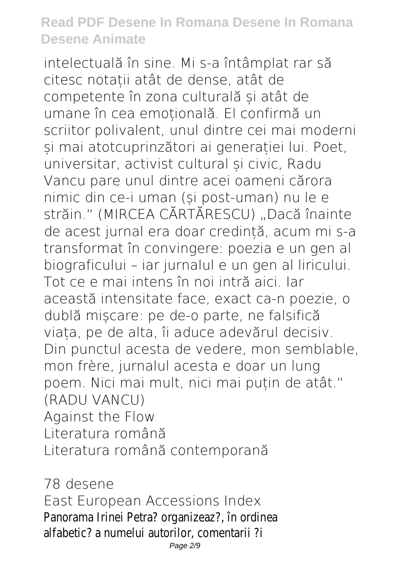intelectuală în sine. Mi s-a întâmplat rar să citesc notații atât de dense, atât de competente în zona culturală și atât de umane în cea emoțională. El confirmă un scriitor polivalent, unul dintre cei mai moderni și mai atotcuprinzători ai generației lui. Poet, universitar, activist cultural și civic, Radu Vancu pare unul dintre acei oameni cărora nimic din ce-i uman (și post-uman) nu le e străin." (MIRCEA CĂRTĂRESCU) "Dacă înainte de acest jurnal era doar credință, acum mi s-a transformat în convingere: poezia e un gen al biograficului – iar jurnalul e un gen al liricului. Tot ce e mai intens în noi intră aici. Iar această intensitate face, exact ca-n poezie, o dublă mișcare: pe de-o parte, ne falsifică viața, pe de alta, îi aduce adevărul decisiv. Din punctul acesta de vedere, mon semblable, mon frère, jurnalul acesta e doar un lung poem. Nici mai mult, nici mai puțin de atât." (RADU VANCU) Against the Flow Literatura română Literatura română contemporană

78 desene East European Accessions Index Panorama Irinei Petra? organizeaz?, în ordinea alfabetic? a numelui autorilor, comentarii ?i Page 2/9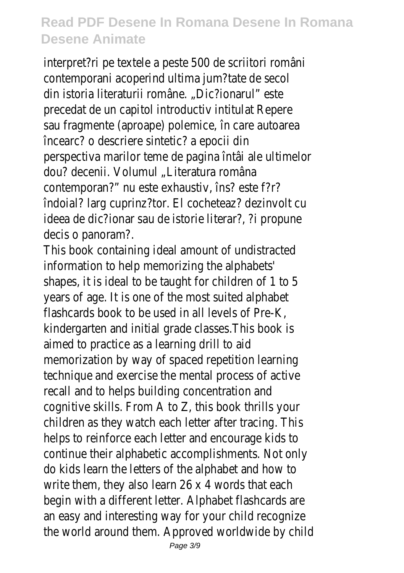interpret?ri pe textele a peste 500 de scriitori români contemporani acoperind ultima jum?tate de secol din istoria literaturii române. "Dic?ionarul" este precedat de un capitol introductiv intitulat Repere sau fragmente (aproape) polemice, în care autoarea încearc? o descriere sintetic? a epocii din perspectiva marilor teme de pagina întâi ale ultimelor dou? decenii. Volumul "Literatura româna contemporan?" nu este exhaustiv, îns? este f?r? îndoial? larg cuprinz?tor. El cocheteaz? dezinvolt cu ideea de dic?ionar sau de istorie literar?, ?i propune decis o panoram?.

This book containing ideal amount of undistracted information to help memorizing the alphabets' shapes, it is ideal to be taught for children of 1 to 5 years of age. It is one of the most suited alphabet flashcards book to be used in all levels of Pre-K, kindergarten and initial grade classes.This book is aimed to practice as a learning drill to aid memorization by way of spaced repetition learning technique and exercise the mental process of active recall and to helps building concentration and cognitive skills. From A to Z, this book thrills your children as they watch each letter after tracing. This helps to reinforce each letter and encourage kids to continue their alphabetic accomplishments. Not only do kids learn the letters of the alphabet and how to write them, they also learn 26 x 4 words that each begin with a different letter. Alphabet flashcards are an easy and interesting way for your child recognize the world around them. Approved worldwide by child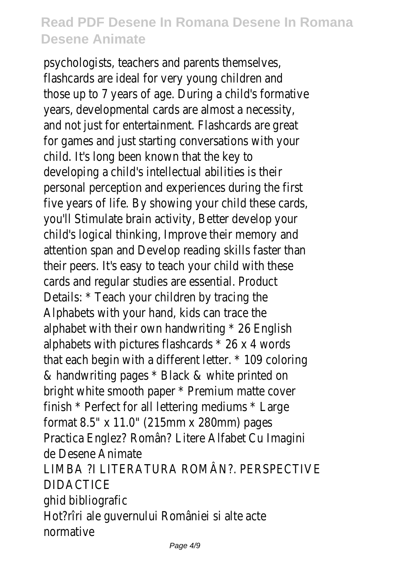psychologists, teachers and parents themselves, flashcards are ideal for very young children and those up to 7 years of age. During a child's formative years, developmental cards are almost a necessity, and not just for entertainment. Flashcards are great for games and just starting conversations with your child. It's long been known that the key to developing a child's intellectual abilities is their personal perception and experiences during the first five years of life. By showing your child these cards, you'll Stimulate brain activity, Better develop your child's logical thinking, Improve their memory and attention span and Develop reading skills faster than their peers. It's easy to teach your child with these cards and regular studies are essential. Product Details: \* Teach your children by tracing the Alphabets with your hand, kids can trace the alphabet with their own handwriting \* 26 English alphabets with pictures flashcards \* 26 x 4 words that each begin with a different letter. \* 109 coloring & handwriting pages \* Black & white printed on bright white smooth paper \* Premium matte cover finish \* Perfect for all lettering mediums \* Large format 8.5" x 11.0" (215mm x 280mm) pages Practica Englez? Român? Litere Alfabet Cu Imagini de Desene Animate LIMBA ?I LITERATURA ROMÂN?. PERSPECTIVE DIDACTICE ghid bibliografic Hot?rîri ale guvernului României si alte acte normative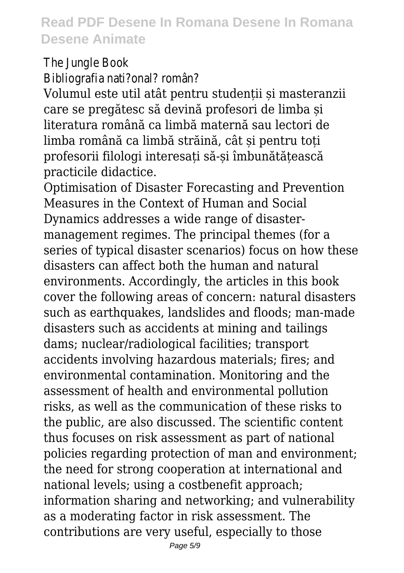#### The Jungle Book Bibliografia nati?onal? român?

Volumul este util atât pentru studenții și masteranzii care se pregătesc să devină profesori de limba și literatura română ca limbă maternă sau lectori de limba română ca limbă străină, cât și pentru toți profesorii filologi interesați să-și îmbunătățească practicile didactice.

Optimisation of Disaster Forecasting and Prevention Measures in the Context of Human and Social Dynamics addresses a wide range of disastermanagement regimes. The principal themes (for a series of typical disaster scenarios) focus on how these disasters can affect both the human and natural environments. Accordingly, the articles in this book cover the following areas of concern: natural disasters such as earthquakes, landslides and floods; man-made disasters such as accidents at mining and tailings dams; nuclear/radiological facilities; transport accidents involving hazardous materials; fires; and environmental contamination. Monitoring and the assessment of health and environmental pollution risks, as well as the communication of these risks to the public, are also discussed. The scientific content thus focuses on risk assessment as part of national policies regarding protection of man and environment; the need for strong cooperation at international and national levels; using a costbenefit approach; information sharing and networking; and vulnerability as a moderating factor in risk assessment. The contributions are very useful, especially to those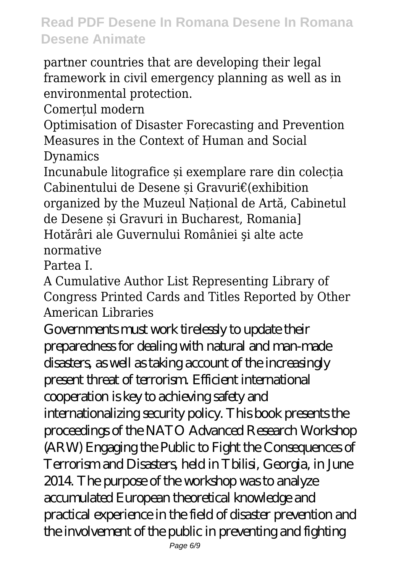partner countries that are developing their legal framework in civil emergency planning as well as in environmental protection.

Comerțul modern

Optimisation of Disaster Forecasting and Prevention Measures in the Context of Human and Social Dynamics

Incunabule litografice și exemplare rare din colecția Cabinentului de Desene și Gravuri€(exhibition organized by the Muzeul Național de Artă, Cabinetul de Desene și Gravuri in Bucharest, Romania] Hotărâri ale Guvernului României şi alte acte normative

Partea I.

A Cumulative Author List Representing Library of Congress Printed Cards and Titles Reported by Other American Libraries

Governments must work tirelessly to update their preparedness for dealing with natural and man-made disasters, as well as taking account of the increasingly present threat of terrorism. Efficient international cooperation is key to achieving safety and internationalizing security policy. This book presents the proceedings of the NATO Advanced Research Workshop (ARW) Engaging the Public to Fight the Consequences of Terrorism and Disasters, held in Tbilisi, Georgia, in June 2014. The purpose of the workshop was to analyze accumulated European theoretical knowledge and practical experience in the field of disaster prevention and the involvement of the public in preventing and fighting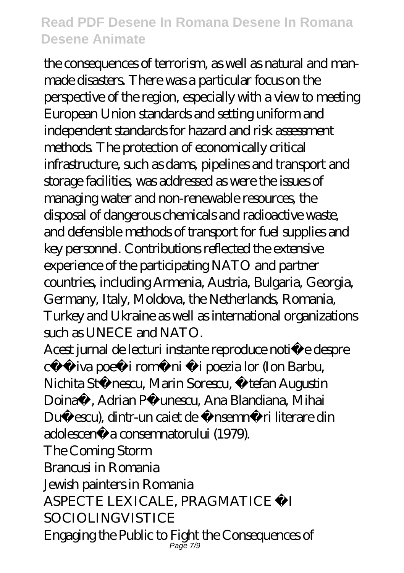the consequences of terrorism, as well as natural and manmade disasters. There was a particular focus on the perspective of the region, especially with a view to meeting European Union standards and setting uniform and independent standards for hazard and risk assessment methods. The protection of economically critical infrastructure, such as dams, pipelines and transport and storage facilities, was addressed as were the issues of managing water and non-renewable resources, the disposal of dangerous chemicals and radioactive waste, and defensible methods of transport for fuel supplies and key personnel. Contributions reflected the extensive experience of the participating NATO and partner countries, including Armenia, Austria, Bulgaria, Georgia, Germany, Italy, Moldova, the Netherlands, Romania, Turkey and Ukraine as well as international organizations such as UNECE and NATO.

Acest jurnal de lecturi instante reproduce notițe despre câ iva poe i români i poezia lor (Ion Barbu, Nichita St nescu, Marin Sorescu, tefan Augustin Doina, Adrian Punescu, Ana Blandiana, Mihai Du escu), dintr-un caiet de însemnă ri literare din adolescen a consemnatorului (1979). The Coming Storm Brancusi in Romania Jewish painters in Romania ASPECTE LEXICALE, PRAGMATICE I SOCIOLINGVISTICE Engaging the Public to Fight the Consequences of Page 7/9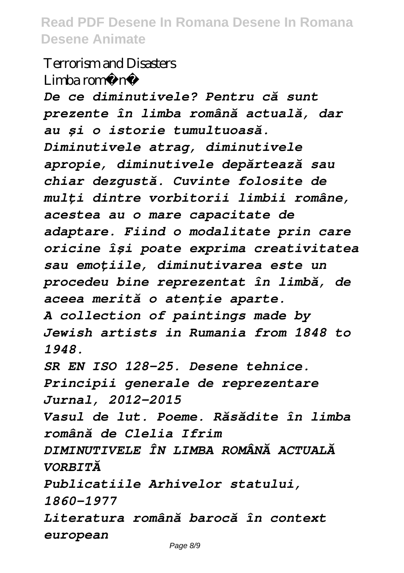#### Terrorism and Disasters

Limba român *De ce diminutivele? Pentru că sunt prezente în limba română actuală, dar au și o istorie tumultuoasă. Diminutivele atrag, diminutivele apropie, diminutivele depărtează sau chiar dezgustă. Cuvinte folosite de mulți dintre vorbitorii limbii române, acestea au o mare capacitate de adaptare. Fiind o modalitate prin care oricine își poate exprima creativitatea sau emoțiile, diminutivarea este un procedeu bine reprezentat în limbă, de aceea merită o atenție aparte. A collection of paintings made by Jewish artists in Rumania from 1848 to 1948. SR EN ISO 128-25. Desene tehnice. Principii generale de reprezentare Jurnal, 2012–2015 Vasul de lut. Poeme. Răsădite în limba română de Clelia Ifrim DIMINUTIVELE ÎN LIMBA ROMÂNĂ ACTUALĂ VORBITĂ Publicatiile Arhivelor statului, 1860-1977 Literatura română barocă în context european*